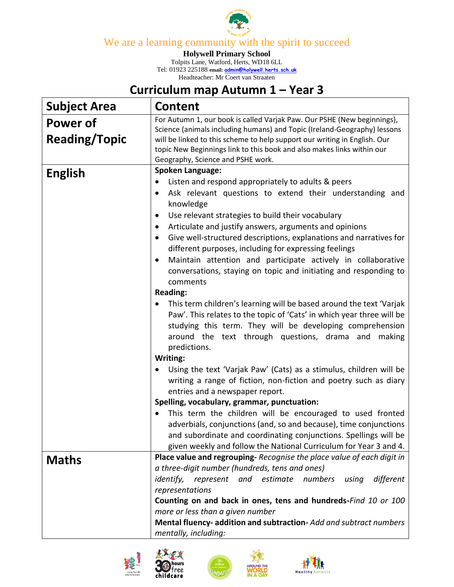

We are a learning community with the spirit to succeed

**Holywell Primary School**

Tolpits Lane, Watford, Herts, WD18 6LL Tel: 01923 225188 **email: [admin@holywell.herts.sch.uk](mailto:admin@holywell.herts.sch.uk)** Headteacher: Mr Coert van Straaten

## **Curriculum map Autumn 1 – Year 3**

| <b>Subject Area</b>              | <b>Content</b>                                                                                                                                                                                                                                                                                                                                                                                                                                                                                                                                                                                                                                                                                                                                                                                                                                                                                                                                                                                                                                                                                                                                                                                                                                                                                                                                                                                                                       |
|----------------------------------|--------------------------------------------------------------------------------------------------------------------------------------------------------------------------------------------------------------------------------------------------------------------------------------------------------------------------------------------------------------------------------------------------------------------------------------------------------------------------------------------------------------------------------------------------------------------------------------------------------------------------------------------------------------------------------------------------------------------------------------------------------------------------------------------------------------------------------------------------------------------------------------------------------------------------------------------------------------------------------------------------------------------------------------------------------------------------------------------------------------------------------------------------------------------------------------------------------------------------------------------------------------------------------------------------------------------------------------------------------------------------------------------------------------------------------------|
| Power of<br><b>Reading/Topic</b> | For Autumn 1, our book is called Varjak Paw. Our PSHE (New beginnings),<br>Science (animals including humans) and Topic (Ireland-Geography) lessons<br>will be linked to this scheme to help support our writing in English. Our<br>topic New Beginnings link to this book and also makes links within our<br>Geography, Science and PSHE work.                                                                                                                                                                                                                                                                                                                                                                                                                                                                                                                                                                                                                                                                                                                                                                                                                                                                                                                                                                                                                                                                                      |
| <b>English</b>                   | <b>Spoken Language:</b><br>Listen and respond appropriately to adults & peers<br>٠<br>Ask relevant questions to extend their understanding and<br>٠<br>knowledge<br>Use relevant strategies to build their vocabulary<br>$\bullet$<br>Articulate and justify answers, arguments and opinions<br>٠<br>Give well-structured descriptions, explanations and narratives for<br>$\bullet$<br>different purposes, including for expressing feelings<br>Maintain attention and participate actively in collaborative<br>$\bullet$<br>conversations, staying on topic and initiating and responding to<br>comments<br><b>Reading:</b><br>This term children's learning will be based around the text 'Varjak<br>Paw'. This relates to the topic of 'Cats' in which year three will be<br>studying this term. They will be developing comprehension<br>around the text through questions, drama and making<br>predictions.<br>Writing:<br>Using the text 'Varjak Paw' (Cats) as a stimulus, children will be<br>writing a range of fiction, non-fiction and poetry such as diary<br>entries and a newspaper report.<br>Spelling, vocabulary, grammar, punctuation:<br>This term the children will be encouraged to used fronted<br>adverbials, conjunctions (and, so and because), time conjunctions<br>and subordinate and coordinating conjunctions. Spellings will be<br>given weekly and follow the National Curriculum for Year 3 and 4. |
| <b>Maths</b>                     | Place value and regrouping-Recognise the place value of each digit in<br>a three-digit number (hundreds, tens and ones)<br>represent and estimate numbers<br>identify,<br>using<br>different<br>representations<br>Counting on and back in ones, tens and hundreds-Find 10 or 100<br>more or less than a given number<br>Mental fluency- addition and subtraction- Add and subtract numbers<br>mentally, including:                                                                                                                                                                                                                                                                                                                                                                                                                                                                                                                                                                                                                                                                                                                                                                                                                                                                                                                                                                                                                  |





'ee



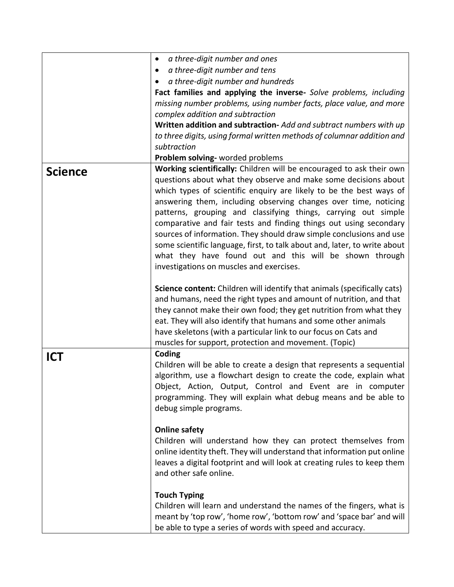|                | a three-digit number and ones<br>$\bullet$                                |
|----------------|---------------------------------------------------------------------------|
|                | a three-digit number and tens<br>$\bullet$                                |
|                | a three-digit number and hundreds<br>٠                                    |
|                | Fact families and applying the inverse- Solve problems, including         |
|                | missing number problems, using number facts, place value, and more        |
|                | complex addition and subtraction                                          |
|                | Written addition and subtraction-Add and subtract numbers with up         |
|                | to three digits, using formal written methods of columnar addition and    |
|                | subtraction                                                               |
|                | Problem solving- worded problems                                          |
| <b>Science</b> | Working scientifically: Children will be encouraged to ask their own      |
|                | questions about what they observe and make some decisions about           |
|                | which types of scientific enquiry are likely to be the best ways of       |
|                | answering them, including observing changes over time, noticing           |
|                | patterns, grouping and classifying things, carrying out simple            |
|                | comparative and fair tests and finding things out using secondary         |
|                | sources of information. They should draw simple conclusions and use       |
|                | some scientific language, first, to talk about and, later, to write about |
|                |                                                                           |
|                | what they have found out and this will be shown through                   |
|                | investigations on muscles and exercises.                                  |
|                |                                                                           |
|                | Science content: Children will identify that animals (specifically cats)  |
|                | and humans, need the right types and amount of nutrition, and that        |
|                | they cannot make their own food; they get nutrition from what they        |
|                | eat. They will also identify that humans and some other animals           |
|                | have skeletons (with a particular link to our focus on Cats and           |
|                | muscles for support, protection and movement. (Topic)                     |
| <b>ICT</b>     | Coding                                                                    |
|                | Children will be able to create a design that represents a sequential     |
|                | algorithm, use a flowchart design to create the code, explain what        |
|                | Object, Action, Output, Control and Event are in computer                 |
|                | programming. They will explain what debug means and be able to            |
|                | debug simple programs.                                                    |
|                |                                                                           |
|                | <b>Online safety</b>                                                      |
|                | Children will understand how they can protect themselves from             |
|                | online identity theft. They will understand that information put online   |
|                | leaves a digital footprint and will look at creating rules to keep them   |
|                | and other safe online.                                                    |
|                |                                                                           |
|                | <b>Touch Typing</b>                                                       |
|                | Children will learn and understand the names of the fingers, what is      |
|                | meant by 'top row', 'home row', 'bottom row' and 'space bar' and will     |
|                |                                                                           |
|                | be able to type a series of words with speed and accuracy.                |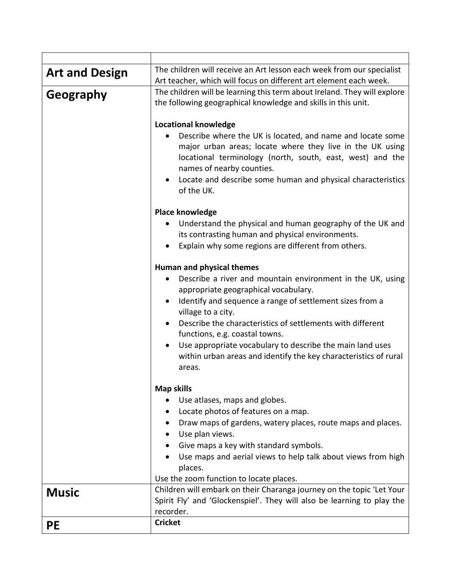| <b>Art and Design</b> | The children will receive an Art lesson each week from our specialist                                                                                                                                                                                                                          |
|-----------------------|------------------------------------------------------------------------------------------------------------------------------------------------------------------------------------------------------------------------------------------------------------------------------------------------|
|                       | Art teacher, which will focus on different art element each week.                                                                                                                                                                                                                              |
| Geography             | The children will be learning this term about Ireland. They will explore<br>the following geographical knowledge and skills in this unit.                                                                                                                                                      |
|                       | <b>Locational knowledge</b>                                                                                                                                                                                                                                                                    |
|                       | Describe where the UK is located, and name and locate some<br>major urban areas; locate where they live in the UK using<br>locational terminology (north, south, east, west) and the<br>names of nearby counties.<br>Locate and describe some human and physical characteristics<br>of the UK. |
|                       | <b>Place knowledge</b>                                                                                                                                                                                                                                                                         |
|                       | Understand the physical and human geography of the UK and<br>its contrasting human and physical environments.<br>Explain why some regions are different from others.                                                                                                                           |
|                       | Human and physical themes                                                                                                                                                                                                                                                                      |
|                       | Describe a river and mountain environment in the UK, using<br>$\bullet$<br>appropriate geographical vocabulary.<br>Identify and sequence a range of settlement sizes from a<br>$\bullet$                                                                                                       |
|                       | village to a city.<br>Describe the characteristics of settlements with different<br>$\bullet$<br>functions, e.g. coastal towns.                                                                                                                                                                |
|                       | Use appropriate vocabulary to describe the main land uses<br>$\bullet$<br>within urban areas and identify the key characteristics of rural<br>areas.                                                                                                                                           |
|                       | <b>Map skills</b>                                                                                                                                                                                                                                                                              |
|                       | Use atlases, maps and globes.                                                                                                                                                                                                                                                                  |
|                       | Locate photos of features on a map.                                                                                                                                                                                                                                                            |
|                       | Draw maps of gardens, watery places, route maps and places.                                                                                                                                                                                                                                    |
|                       | Use plan views.                                                                                                                                                                                                                                                                                |
|                       | Give maps a key with standard symbols.                                                                                                                                                                                                                                                         |
|                       | Use maps and aerial views to help talk about views from high<br>places.                                                                                                                                                                                                                        |
|                       | Use the zoom function to locate places.                                                                                                                                                                                                                                                        |
| <b>Music</b>          | Children will embark on their Charanga journey on the topic 'Let Your                                                                                                                                                                                                                          |
|                       | Spirit Fly' and 'Glockenspiel'. They will also be learning to play the<br>recorder.                                                                                                                                                                                                            |
| <b>PE</b>             | <b>Cricket</b>                                                                                                                                                                                                                                                                                 |
|                       |                                                                                                                                                                                                                                                                                                |